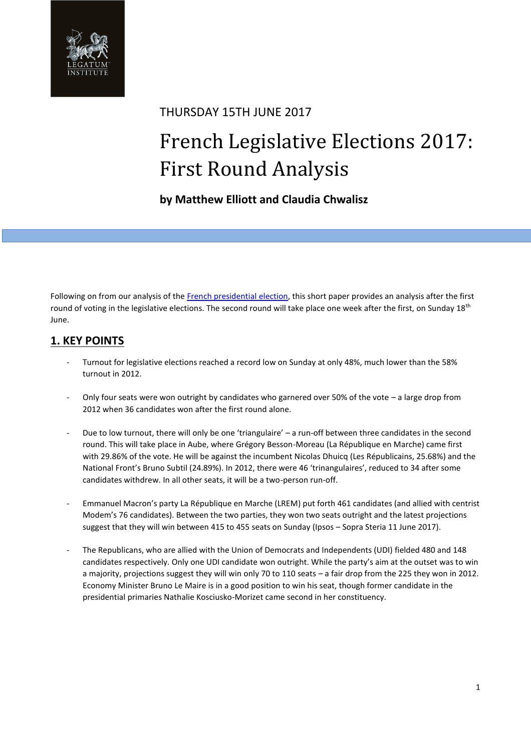

## THURSDAY 15TH JUNE 2017

# French Legislative Elections 2017: First Round Analysis

## **by Matthew Elliott and Claudia Chwalisz**

Following on from our analysis of th[e French presidential](http://www.li.com/activities/publications/a-brief-guide-to-the-french-election-populism-across-the-spectrum-left-right-and-centre) election, this short paper provides an analysis after the first round of voting in the legislative elections. The second round will take place one week after the first, on Sunday  $18<sup>th</sup>$ June.

## **1. KEY POINTS**

- Turnout for legislative elections reached a record low on Sunday at only 48%, much lower than the 58% turnout in 2012.
- Only four seats were won outright by candidates who garnered over 50% of the vote  $-$  a large drop from 2012 when 36 candidates won after the first round alone.
- Due to low turnout, there will only be one 'triangulaire' a run-off between three candidates in the second round. This will take place in Aube, where Grégory Besson-Moreau (La République en Marche) came first with 29.86% of the vote. He will be against the incumbent Nicolas Dhuicq (Les Républicains, 25.68%) and the National Front's Bruno Subtil (24.89%). In 2012, there were 46 'trinangulaires', reduced to 34 after some candidates withdrew. In all other seats, it will be a two-person run-off.
- Emmanuel Macron's party La République en Marche (LREM) put forth 461 candidates (and allied with centrist Modem's 76 candidates). Between the two parties, they won two seats outright and the latest projections suggest that they will win between 415 to 455 seats on Sunday (Ipsos – Sopra Steria 11 June 2017).
- The Republicans, who are allied with the Union of Democrats and Independents (UDI) fielded 480 and 148 candidates respectively. Only one UDI candidate won outright. While the party's aim at the outset was to win a majority, projections suggest they will win only 70 to 110 seats – a fair drop from the 225 they won in 2012. Economy Minister Bruno Le Maire is in a good position to win his seat, though former candidate in the presidential primaries Nathalie Kosciusko-Morizet came second in her constituency.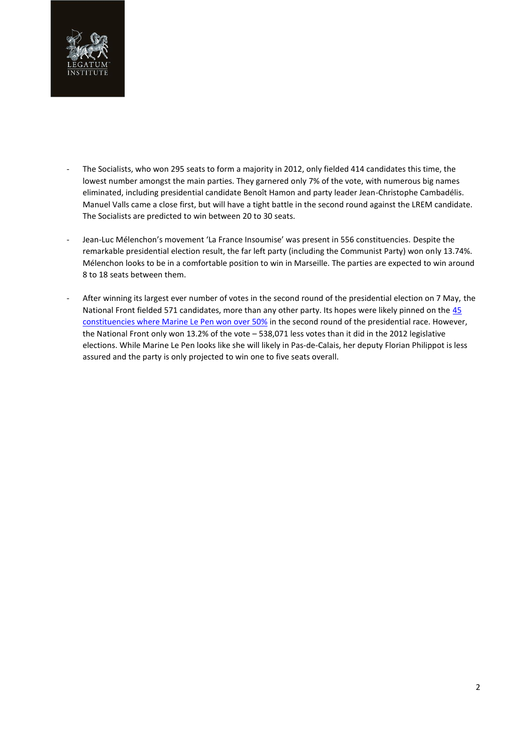

- The Socialists, who won 295 seats to form a majority in 2012, only fielded 414 candidates this time, the lowest number amongst the main parties. They garnered only 7% of the vote, with numerous big names eliminated, including presidential candidate Benoît Hamon and party leader Jean-Christophe Cambadélis. Manuel Valls came a close first, but will have a tight battle in the second round against the LREM candidate. The Socialists are predicted to win between 20 to 30 seats.
- Jean-Luc Mélenchon's movement 'La France Insoumise' was present in 556 constituencies. Despite the remarkable presidential election result, the far left party (including the Communist Party) won only 13.74%. Mélenchon looks to be in a comfortable position to win in Marseille. The parties are expected to win around 8 to 18 seats between them.
- After winning its largest ever number of votes in the second round of the presidential election on 7 May, the National Front fielded 571 candidates, more than any other party. Its hopes were likely pinned on the [45](mailto:http://bensan.typepad.com/ben/2017/06/les-45-circonscriptions-ou-marine-le-pen-a-d%C3%A9pass%C3%A9-les-50-au-2%C3%A8me-tour.html)  [constituencies where Marine Le Pen won over 50%](mailto:http://bensan.typepad.com/ben/2017/06/les-45-circonscriptions-ou-marine-le-pen-a-d%C3%A9pass%C3%A9-les-50-au-2%C3%A8me-tour.html) in the second round of the presidential race. However, the National Front only won 13.2% of the vote – 538,071 less votes than it did in the 2012 legislative elections. While Marine Le Pen looks like she will likely in Pas-de-Calais, her deputy Florian Philippot is less assured and the party is only projected to win one to five seats overall.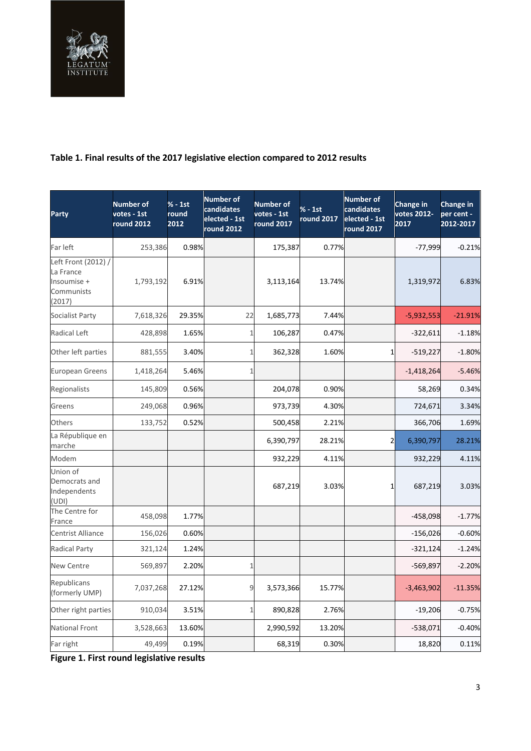

## **Table 1. Final results of the 2017 legislative election compared to 2012 results**

| <b>Party</b>                                                            | <b>Number of</b><br>votes - 1st<br><b>round 2012</b> | $% - 1st$<br>round<br>2012 | <b>Number of</b><br>candidates<br>elected - 1st<br><b>round 2012</b> | <b>Number of</b><br>votes - 1st<br>round 2017 | $% - 1st$<br>round 2017 | <b>Number of</b><br>candidates<br>elected - 1st<br>round 2017 | Change in<br>votes 2012-<br>2017 | Change in<br>per cent -<br>2012-2017 |
|-------------------------------------------------------------------------|------------------------------------------------------|----------------------------|----------------------------------------------------------------------|-----------------------------------------------|-------------------------|---------------------------------------------------------------|----------------------------------|--------------------------------------|
| Far left                                                                | 253,386                                              | 0.98%                      |                                                                      | 175,387                                       | 0.77%                   |                                                               | $-77,999$                        | $-0.21%$                             |
| Left Front (2012) /<br>La France<br>Insoumise +<br>Communists<br>(2017) | 1,793,192                                            | 6.91%                      |                                                                      | 3,113,164                                     | 13.74%                  |                                                               | 1,319,972                        | 6.83%                                |
| Socialist Party                                                         | 7,618,326                                            | 29.35%                     | 22                                                                   | 1,685,773                                     | 7.44%                   |                                                               | $-5,932,553$                     | $-21.91%$                            |
| Radical Left                                                            | 428,898                                              | 1.65%                      | 1                                                                    | 106,287                                       | 0.47%                   |                                                               | $-322,611$                       | $-1.18%$                             |
| Other left parties                                                      | 881,555                                              | 3.40%                      |                                                                      | 362,328                                       | 1.60%                   | $1\overline{1}$                                               | $-519,227$                       | $-1.80%$                             |
| <b>European Greens</b>                                                  | 1,418,264                                            | 5.46%                      |                                                                      |                                               |                         |                                                               | $-1,418,264$                     | $-5.46%$                             |
| Regionalists                                                            | 145,809                                              | 0.56%                      |                                                                      | 204,078                                       | 0.90%                   |                                                               | 58,269                           | 0.34%                                |
| Greens                                                                  | 249,068                                              | 0.96%                      |                                                                      | 973,739                                       | 4.30%                   |                                                               | 724,671                          | 3.34%                                |
| Others                                                                  | 133,752                                              | 0.52%                      |                                                                      | 500,458                                       | 2.21%                   |                                                               | 366,706                          | 1.69%                                |
| La République en<br>marche                                              |                                                      |                            |                                                                      | 6,390,797                                     | 28.21%                  | 2                                                             | 6,390,797                        | 28.21%                               |
| Modem                                                                   |                                                      |                            |                                                                      | 932,229                                       | 4.11%                   |                                                               | 932,229                          | 4.11%                                |
| Union of<br>Democrats and<br>Independents<br>(UDI)                      |                                                      |                            |                                                                      | 687,219                                       | 3.03%                   | $1\vert$                                                      | 687,219                          | 3.03%                                |
| The Centre for<br>France                                                | 458,098                                              | 1.77%                      |                                                                      |                                               |                         |                                                               | -458,098                         | $-1.77%$                             |
| <b>Centrist Alliance</b>                                                | 156,026                                              | 0.60%                      |                                                                      |                                               |                         |                                                               | $-156,026$                       | $-0.60%$                             |
| <b>Radical Party</b>                                                    | 321,124                                              | 1.24%                      |                                                                      |                                               |                         |                                                               | $-321,124$                       | $-1.24%$                             |
| <b>New Centre</b>                                                       | 569,897                                              | 2.20%                      | 1                                                                    |                                               |                         |                                                               | $-569,897$                       | $-2.20%$                             |
| Republicans<br>(formerly UMP)                                           | 7,037,268                                            | 27.12%                     | 9                                                                    | 3,573,366                                     | 15.77%                  |                                                               | $-3,463,902$                     | $-11.35%$                            |
| Other right parties                                                     | 910,034                                              | 3.51%                      | $\mathbf{1}$                                                         | 890,828                                       | 2.76%                   |                                                               | $-19,206$                        | $-0.75%$                             |
| <b>National Front</b>                                                   | 3,528,663                                            | 13.60%                     |                                                                      | 2,990,592                                     | 13.20%                  |                                                               | $-538,071$                       | $-0.40%$                             |
| Far right                                                               | 49,499                                               | 0.19%                      |                                                                      | 68,319                                        | 0.30%                   |                                                               | 18,820                           | 0.11%                                |

**Figure 1. First round legislative results**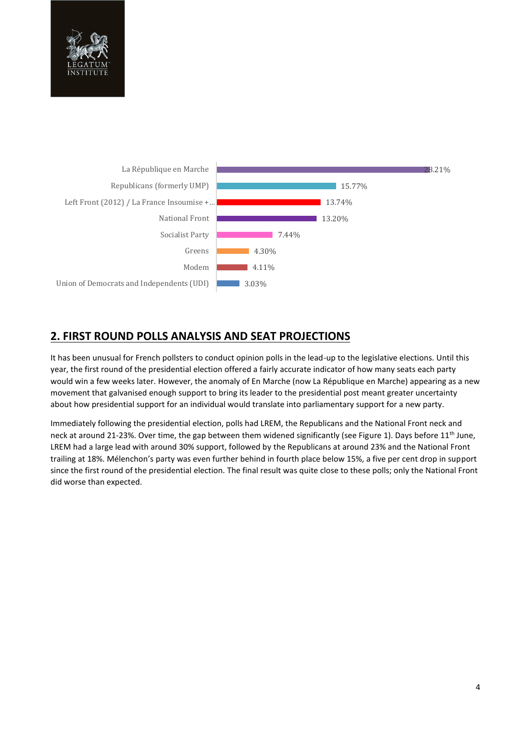



## **2. FIRST ROUND POLLS ANALYSIS AND SEAT PROJECTIONS**

It has been unusual for French pollsters to conduct opinion polls in the lead-up to the legislative elections. Until this year, the first round of the presidential election offered a fairly accurate indicator of how many seats each party would win a few weeks later. However, the anomaly of En Marche (now La République en Marche) appearing as a new movement that galvanised enough support to bring its leader to the presidential post meant greater uncertainty about how presidential support for an individual would translate into parliamentary support for a new party.

Immediately following the presidential election, polls had LREM, the Republicans and the National Front neck and neck at around 21-23%. Over time, the gap between them widened significantly (see Figure 1). Days before 11<sup>th</sup> June, LREM had a large lead with around 30% support, followed by the Republicans at around 23% and the National Front trailing at 18%. Mélenchon's party was even further behind in fourth place below 15%, a five per cent drop in support since the first round of the presidential election. The final result was quite close to these polls; only the National Front did worse than expected.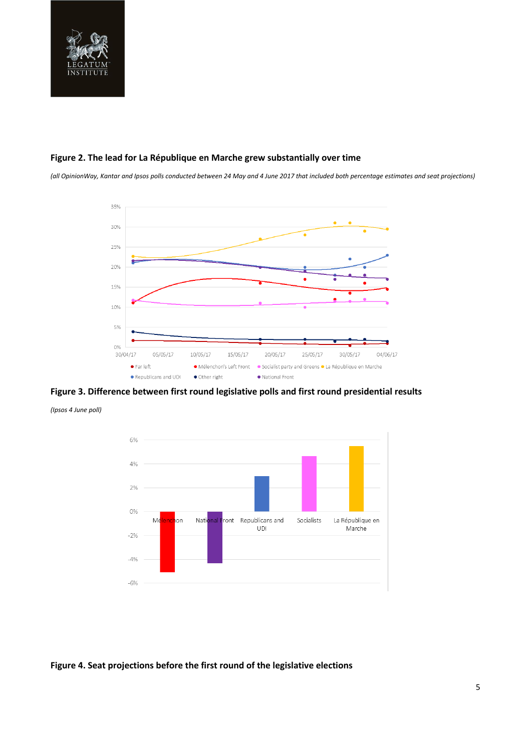

#### **Figure 2. The lead for La République en Marche grew substantially over time**

*(all OpinionWay, Kantar and Ipsos polls conducted between 24 May and 4 June 2017 that included both percentage estimates and seat projections)*



**Figure 3. Difference between first round legislative polls and first round presidential results** 

*(Ipsos 4 June poll)*



**Figure 4. Seat projections before the first round of the legislative elections**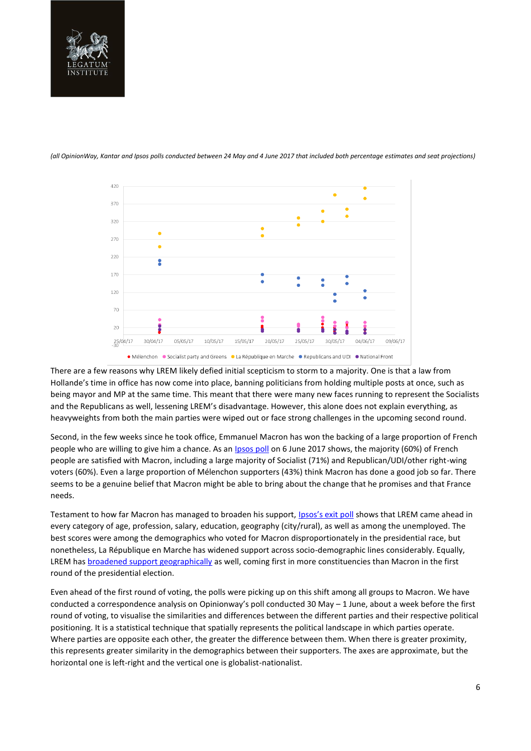

*(all OpinionWay, Kantar and Ipsos polls conducted between 24 May and 4 June 2017 that included both percentage estimates and seat projections)*



• Mélenchon • Socialist party and Greens • La République en Marche • Republicans and UDI • National Front

There are a few reasons why LREM likely defied initial scepticism to storm to a majority. One is that a law from Hollande's time in office has now come into place, banning politicians from holding multiple posts at once, such as being mayor and MP at the same time. This meant that there were many new faces running to represent the Socialists and the Republicans as well, lessening LREM's disadvantage. However, this alone does not explain everything, as heavyweights from both the main parties were wiped out or face strong challenges in the upcoming second round.

Second, in the few weeks since he took office, Emmanuel Macron has won the backing of a large proportion of French people who are willing to give him a chance. As an **Ipsos poll** on 6 June 2017 shows, the majority (60%) of French people are satisfied with Macron, including a large majority of Socialist (71%) and Republican/UDI/other right-wing voters (60%). Even a large proportion of Mélenchon supporters (43%) think Macron has done a good job so far. There seems to be a genuine belief that Macron might be able to bring about the change that he promises and that France needs.

Testament to how far Macron has managed to broaden his support, [Ipsos's exit poll](http://www.ipsos.fr/decrypter-societe/2017-06-11-1er-tour-legislatives-2017-sociologie-electorats-et-profil-abstentionnistes) shows that LREM came ahead in every category of age, profession, salary, education, geography (city/rural), as well as among the unemployed. The best scores were among the demographics who voted for Macron disproportionately in the presidential race, but nonetheless, La République en Marche has widened support across socio-demographic lines considerably. Equally, LREM has [broadened support geographically](http://www.francetvinfo.fr/elections/legislatives/carte-avant-apres-entre-la-presidentielle-et-les-legislatives-en-marche-continue-sa-progression_2233109.html#xtor=CS1-747) as well, coming first in more constituencies than Macron in the first round of the presidential election.

Even ahead of the first round of voting, the polls were picking up on this shift among all groups to Macron. We have conducted a correspondence analysis on Opinionway's poll conducted 30 May – 1 June, about a week before the first round of voting, to visualise the similarities and differences between the different parties and their respective political positioning. It is a statistical technique that spatially represents the political landscape in which parties operate. Where parties are opposite each other, the greater the difference between them. When there is greater proximity, this represents greater similarity in the demographics between their supporters. The axes are approximate, but the horizontal one is left-right and the vertical one is globalist-nationalist.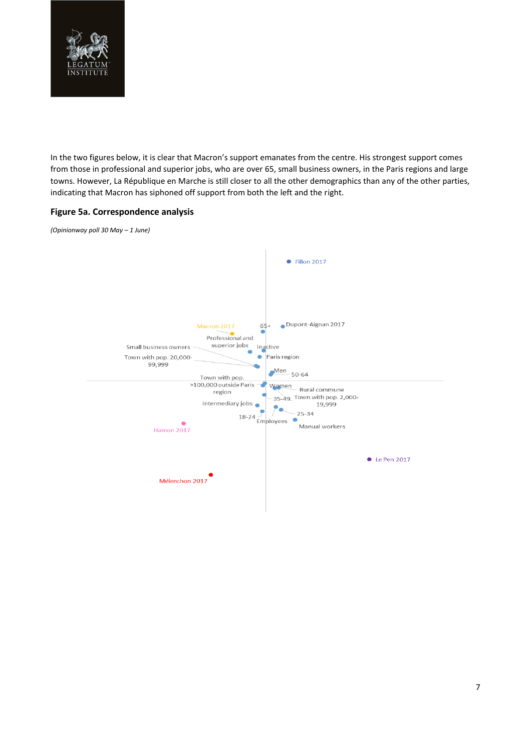

In the two figures below, it is clear that Macron's support emanates from the centre. His strongest support comes from those in professional and superior jobs, who are over 65, small business owners, in the Paris regions and large towns. However, La République en Marche is still closer to all the other demographics than any of the other parties, indicating that Macron has siphoned off support from both the left and the right.

#### **Figure 5a. Correspondence analysis**

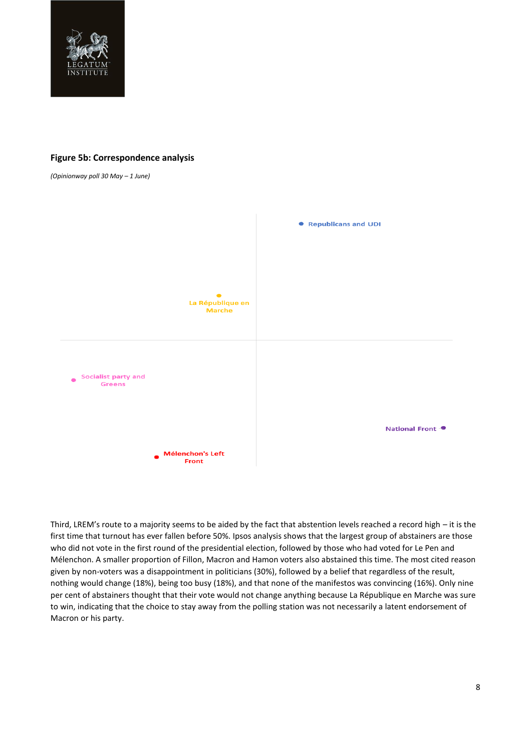

#### **Figure 5b: Correspondence analysis**

*(Opinionway poll 30 May – 1 June)*



Third, LREM's route to a majority seems to be aided by the fact that abstention levels reached a record high – it is the first time that turnout has ever fallen before 50%. Ipsos analysis shows that the largest group of abstainers are those who did not vote in the first round of the presidential election, followed by those who had voted for Le Pen and Mélenchon. A smaller proportion of Fillon, Macron and Hamon voters also abstained this time. The most cited reason given by non-voters was a disappointment in politicians (30%), followed by a belief that regardless of the result, nothing would change (18%), being too busy (18%), and that none of the manifestos was convincing (16%). Only nine per cent of abstainers thought that their vote would not change anything because La République en Marche was sure to win, indicating that the choice to stay away from the polling station was not necessarily a latent endorsement of Macron or his party.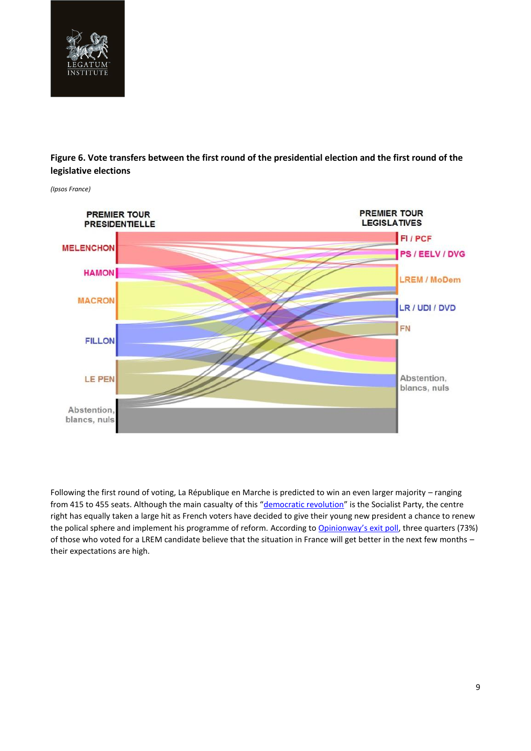

### **Figure 6. Vote transfers between the first round of the presidential election and the first round of the legislative elections**



*(Ipsos France)*

Following the first round of voting, La République en Marche is predicted to win an even larger majority – ranging from 415 to 455 seats. Although the main casualty of this "[democratic revolution](http://tempsreel.nouvelobs.com/politique/legislatives-2017/20170612.OBS0579/revolution-democratique-fin-du-bipartisme-les-legislatives-vues-de-l-etranger.html)" is the Socialist Party, the centre right has equally taken a large hit as French voters have decided to give their young new president a chance to renew the polical sphere and implement his programme of reform. According to [Opinionway's exit poll](https://www.opinion-way.com/en/component/edocman/?task=document.viewdoc&id=1650&Itemid=0), three quarters (73%) of those who voted for a LREM candidate believe that the situation in France will get better in the next few months – their expectations are high.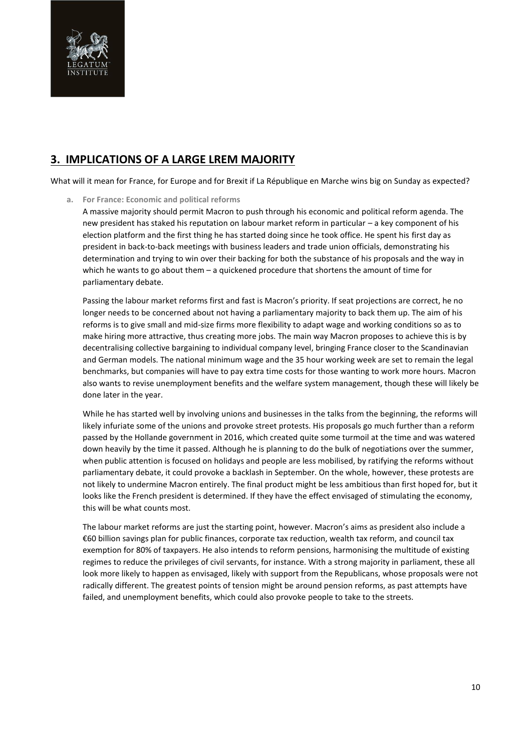

## **3. IMPLICATIONS OF A LARGE LREM MAJORITY**

What will it mean for France, for Europe and for Brexit if La République en Marche wins big on Sunday as expected?

**a. For France: Economic and political reforms** 

A massive majority should permit Macron to push through his economic and political reform agenda. The new president has staked his reputation on labour market reform in particular – a key component of his election platform and the first thing he has started doing since he took office. He spent his first day as president in back-to-back meetings with business leaders and trade union officials, demonstrating his determination and trying to win over their backing for both the substance of his proposals and the way in which he wants to go about them  $-$  a quickened procedure that shortens the amount of time for parliamentary debate.

Passing the labour market reforms first and fast is Macron's priority. If seat projections are correct, he no longer needs to be concerned about not having a parliamentary majority to back them up. The aim of his reforms is to give small and mid-size firms more flexibility to adapt wage and working conditions so as to make hiring more attractive, thus creating more jobs. The main way Macron proposes to achieve this is by decentralising collective bargaining to individual company level, bringing France closer to the Scandinavian and German models. The national minimum wage and the 35 hour working week are set to remain the legal benchmarks, but companies will have to pay extra time costs for those wanting to work more hours. Macron also wants to revise unemployment benefits and the welfare system management, though these will likely be done later in the year.

While he has started well by involving unions and businesses in the talks from the beginning, the reforms will likely infuriate some of the unions and provoke street protests. His proposals go much further than a reform passed by the Hollande government in 2016, which created quite some turmoil at the time and was watered down heavily by the time it passed. Although he is planning to do the bulk of negotiations over the summer, when public attention is focused on holidays and people are less mobilised, by ratifying the reforms without parliamentary debate, it could provoke a backlash in September. On the whole, however, these protests are not likely to undermine Macron entirely. The final product might be less ambitious than first hoped for, but it looks like the French president is determined. If they have the effect envisaged of stimulating the economy, this will be what counts most.

The labour market reforms are just the starting point, however. Macron's aims as president also include a €60 billion savings plan for public finances, corporate tax reduction, wealth tax reform, and council tax exemption for 80% of taxpayers. He also intends to reform pensions, harmonising the multitude of existing regimes to reduce the privileges of civil servants, for instance. With a strong majority in parliament, these all look more likely to happen as envisaged, likely with support from the Republicans, whose proposals were not radically different. The greatest points of tension might be around pension reforms, as past attempts have failed, and unemployment benefits, which could also provoke people to take to the streets.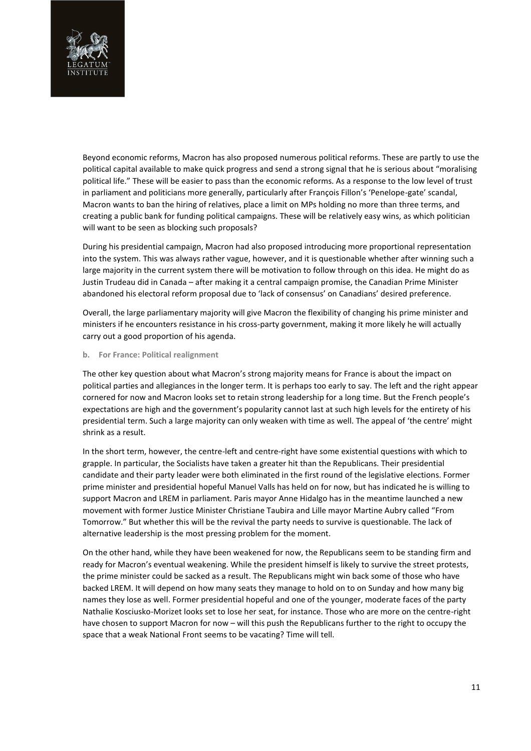

Beyond economic reforms, Macron has also proposed numerous political reforms. These are partly to use the political capital available to make quick progress and send a strong signal that he is serious about "moralising political life." These will be easier to pass than the economic reforms. As a response to the low level of trust in parliament and politicians more generally, particularly after François Fillon's 'Penelope-gate' scandal, Macron wants to ban the hiring of relatives, place a limit on MPs holding no more than three terms, and creating a public bank for funding political campaigns. These will be relatively easy wins, as which politician will want to be seen as blocking such proposals?

During his presidential campaign, Macron had also proposed introducing more proportional representation into the system. This was always rather vague, however, and it is questionable whether after winning such a large majority in the current system there will be motivation to follow through on this idea. He might do as Justin Trudeau did in Canada – after making it a central campaign promise, the Canadian Prime Minister abandoned his electoral reform proposal due to 'lack of consensus' on Canadians' desired preference.

Overall, the large parliamentary majority will give Macron the flexibility of changing his prime minister and ministers if he encounters resistance in his cross-party government, making it more likely he will actually carry out a good proportion of his agenda.

#### **b. For France: Political realignment**

The other key question about what Macron's strong majority means for France is about the impact on political parties and allegiances in the longer term. It is perhaps too early to say. The left and the right appear cornered for now and Macron looks set to retain strong leadership for a long time. But the French people's expectations are high and the government's popularity cannot last at such high levels for the entirety of his presidential term. Such a large majority can only weaken with time as well. The appeal of 'the centre' might shrink as a result.

In the short term, however, the centre-left and centre-right have some existential questions with which to grapple. In particular, the Socialists have taken a greater hit than the Republicans. Their presidential candidate and their party leader were both eliminated in the first round of the legislative elections. Former prime minister and presidential hopeful Manuel Valls has held on for now, but has indicated he is willing to support Macron and LREM in parliament. Paris mayor Anne Hidalgo has in the meantime launched a new movement with former Justice Minister Christiane Taubira and Lille mayor Martine Aubry called "From Tomorrow." But whether this will be the revival the party needs to survive is questionable. The lack of alternative leadership is the most pressing problem for the moment.

On the other hand, while they have been weakened for now, the Republicans seem to be standing firm and ready for Macron's eventual weakening. While the president himself is likely to survive the street protests, the prime minister could be sacked as a result. The Republicans might win back some of those who have backed LREM. It will depend on how many seats they manage to hold on to on Sunday and how many big names they lose as well. Former presidential hopeful and one of the younger, moderate faces of the party Nathalie Kosciusko-Morizet looks set to lose her seat, for instance. Those who are more on the centre-right have chosen to support Macron for now – will this push the Republicans further to the right to occupy the space that a weak National Front seems to be vacating? Time will tell.